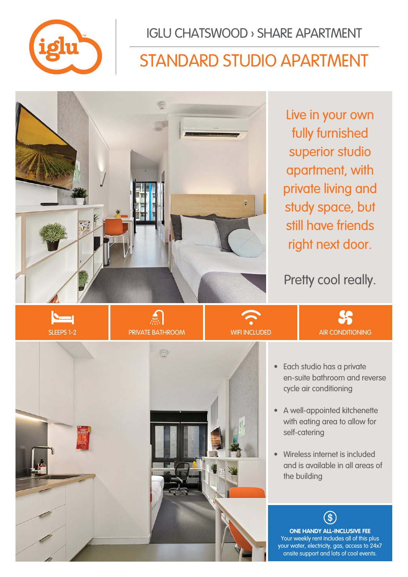

IGLU CHATSWOOD › SHARE APARTMENT

# STANDARD STUDIO APARTMENT



Live in your own fully furnished superior studio apartment, with private living and study space, but still have friends right next door.

Pretty cool really.

**SS** 









- A well-appointed kitchenette with eating area to allow for self-catering
- Wireless internet is included and is available in all areas of the building

**ONE HANDY ALL-INCLUSIVE FEE** Your weekly rent includes all of this plus your water, electricity, gas, access to 24x7 onsite support and lots of cool events.

 $\Im$